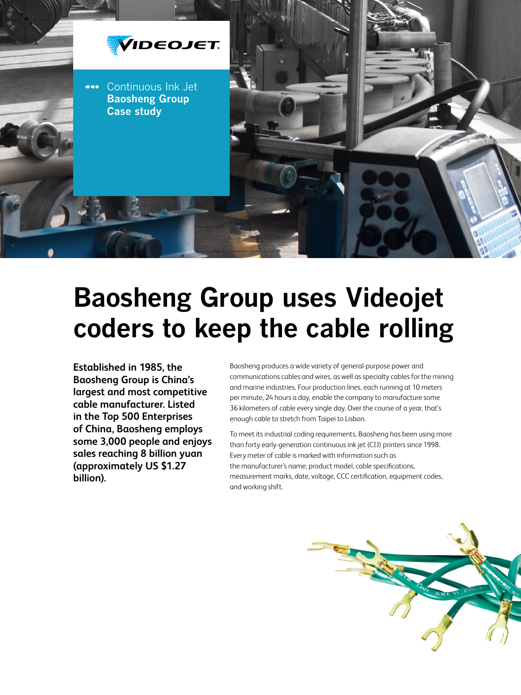

# **Baosheng Group uses Videojet coders to keep the cable rolling**

**Established in 1985, the Baosheng Group is China's largest and most competitive cable manufacturer. Listed in the Top 500 Enterprises of China, Baosheng employs some 3,000 people and enjoys sales reaching 8 billion yuan (approximately US \$1.27 billion).** 

Baosheng produces a wide variety of general-purpose power and communications cables and wires, as well as specialty cables for the mining and marine industries. Four production lines, each running at 10 meters per minute, 24 hours a day, enable the company to manufacture some 36 kilometers of cable every single day. Over the course of a year, that's enough cable to stretch from Taipei to Lisbon.

To meet its industrial coding requirements, Baosheng has been using more than forty early-generation continuous ink jet (CIJ) printers since 1998. Every meter of cable is marked with information such as the manufacturer's name, product model, cable specifications, measurement marks, date, voltage, CCC certification, equipment codes, and working shift.

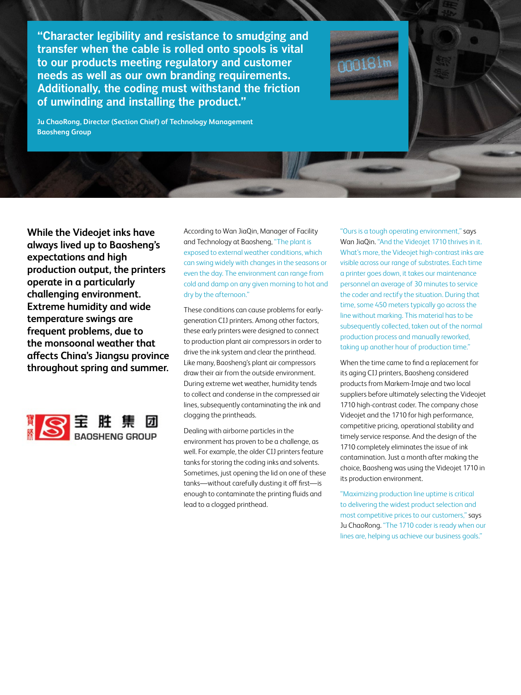**"Character legibility and resistance to smudging and transfer when the cable is rolled onto spools is vital to our products meeting regulatory and customer needs as well as our own branding requirements. Additionally, the coding must withstand the friction of unwinding and installing the product."**

**Ju ChaoRong, Director (Section Chief) of Technology Management Baosheng Group**

**While the Videojet inks have always lived up to Baosheng's expectations and high production output, the printers operate in a particularly challenging environment. Extreme humidity and wide temperature swings are frequent problems, due to the monsoonal weather that affects China's Jiangsu province throughout spring and summer.**



According to Wan JiaQin, Manager of Facility and Technology at Baosheng, "The plant is exposed to external weather conditions, which can swing widely with changes in the seasons or even the day. The environment can range from cold and damp on any given morning to hot and dry by the afternoon."

These conditions can cause problems for earlygeneration CIJ printers. Among other factors, these early printers were designed to connect to production plant air compressors in order to drive the ink system and clear the printhead. Like many, Baosheng's plant air compressors draw their air from the outside environment. During extreme wet weather, humidity tends to collect and condense in the compressed air lines, subsequently contaminating the ink and clogging the printheads.

Dealing with airborne particles in the environment has proven to be a challenge, as well. For example, the older CIJ printers feature tanks for storing the coding inks and solvents. Sometimes, just opening the lid on one of these tanks—without carefully dusting it off first—is enough to contaminate the printing fluids and lead to a clogged printhead.

"Ours is a tough operating environment," says Wan JiaQin. "And the Videojet 1710 thrives in it. What's more, the Videojet high-contrast inks are visible across our range of substrates. Each time a printer goes down, it takes our maintenance personnel an average of 30 minutes to service the coder and rectify the situation. During that time, some 450 meters typically go across the line without marking. This material has to be subsequently collected, taken out of the normal production process and manually reworked, taking up another hour of production time."

When the time came to find a replacement for its aging CIJ printers, Baosheng considered products from Markem-Imaje and two local suppliers before ultimately selecting the Videojet 1710 high-contrast coder. The company chose Videojet and the 1710 for high performance, competitive pricing, operational stability and timely service response. And the design of the 1710 completely eliminates the issue of ink contamination. Just a month after making the choice, Baosheng was using the Videojet 1710 in its production environment.

"Maximizing production line uptime is critical to delivering the widest product selection and most competitive prices to our customers," says Ju ChaoRong. "The 1710 coder is ready when our lines are, helping us achieve our business goals."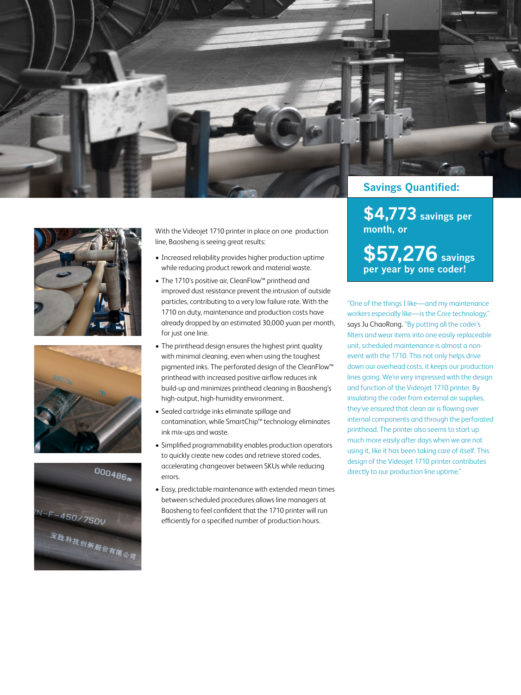







With the Videojet 1710 printer in place on one production line, Baosheng is seeing great results:

- Increased reliability provides higher production uptime while reducing product rework and material waste.
- • The 1710's positive air, CleanFlow™ printhead and improved dust resistance prevent the intrusion of outside particles, contributing to a very low failure rate. With the 1710 on duty, maintenance and production costs have already dropped by an estimated 30,000 yuan per month, for just one line.
- The printhead design ensures the highest print quality with minimal cleaning, even when using the toughest pigmented inks. The perforated design of the CleanFlow™ printhead with increased positive airflow reduces ink build-up and minimizes printhead cleaning in Baosheng's high-output, high-humidity environment.
- • Sealed cartridge inks eliminate spillage and contamination, while SmartChip™ technology eliminates ink mix-ups and waste.
- • Simplified programmability enables production operators to quickly create new codes and retrieve stored codes, accelerating changeover between SKUs while reducing errors.
- Easy, predictable maintenance with extended mean times between scheduled procedures allows line managers at Baosheng to feel confident that the 1710 printer will run efficiently for a specified number of production hours.

# **Savings Quantified:**

**\$4,773 savings per month, or \$57,276 savings per year by one coder!**

"One of the things I like—and my maintenance workers especially like—is the Core technology," says Ju ChaoRong. "By putting all the coder's filters and wear items into one easily replaceable unit, scheduled maintenance is almost a nonevent with the 1710. This not only helps drive down our overhead costs, it keeps our production lines going. We're very impressed with the design and function of the Videojet 1710 printer. By insulating the coder from external air supplies, they've ensured that clean air is flowing over internal components and through the perforated printhead. The printer also seems to start up much more easily after days when we are not using it, like it has been taking care of itself. This design of the Videojet 1710 printer contributes directly to our production line uptime."